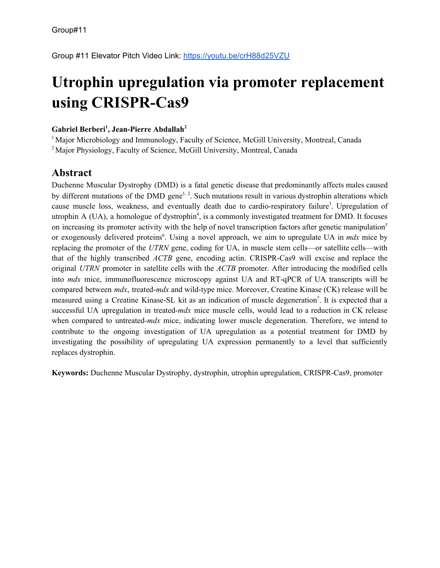## **Utrophin upregulation via promoter replacement using CRISPR-Cas9**

## **Gabriel Berberi 1 , Jean-Pierre Abdallah 2**

<sup>1</sup> Major Microbiology and Immunology, Faculty of Science, McGill University, Montreal, Canada <sup>2</sup> Maior Physiology, Faculty of Science, McGill University, Montreal, Canada

## **Abstract**

Duchenne Muscular Dystrophy (DMD) is a fatal genetic disease that predominantly affects males caused by different mutations of the DMD gene<sup>1, 2</sup>. Such mutations result in various dystrophin alterations which cause muscle loss, weakness, and eventually death due to cardio-respiratory failure<sup>3</sup>. Upregulation of utrophin A (UA), a homologue of dystrophin<sup>4</sup>, is a commonly investigated treatment for DMD. It focuses on increasing its promoter activity with the help of novel transcription factors after genetic manipulation<sup>5</sup> or exogenously delivered proteins 6 . Using a novel approach, we aim to upregulate UA in *mdx* mice by replacing the promoter of the *UTRN* gene, coding for UA, in muscle stem cells—or satellite cells—with that of the highly transcribed *ACTB* gene, encoding actin. CRISPR-Cas9 will excise and replace the original *UTRN* promoter in satellite cells with the *ACTB* promoter. After introducing the modified cells into *mdx* mice, immunofluorescence microscopy against UA and RT-qPCR of UA transcripts will be compared between *mdx*, treated-*mdx* and wild-type mice. Moreover, Creatine Kinase (CK) release will be measured using a Creatine Kinase-SL kit as an indication of muscle degeneration<sup>7</sup>. It is expected that a successful UA upregulation in treated-*mdx* mice muscle cells, would lead to a reduction in CK release when compared to untreated-*mdx* mice, indicating lower muscle degeneration. Therefore, we intend to contribute to the ongoing investigation of UA upregulation as a potential treatment for DMD by investigating the possibility of upregulating UA expression permanently to a level that sufficiently replaces dystrophin.

**Keywords:** Duchenne Muscular Dystrophy, dystrophin, utrophin upregulation, CRISPR-Cas9, promoter